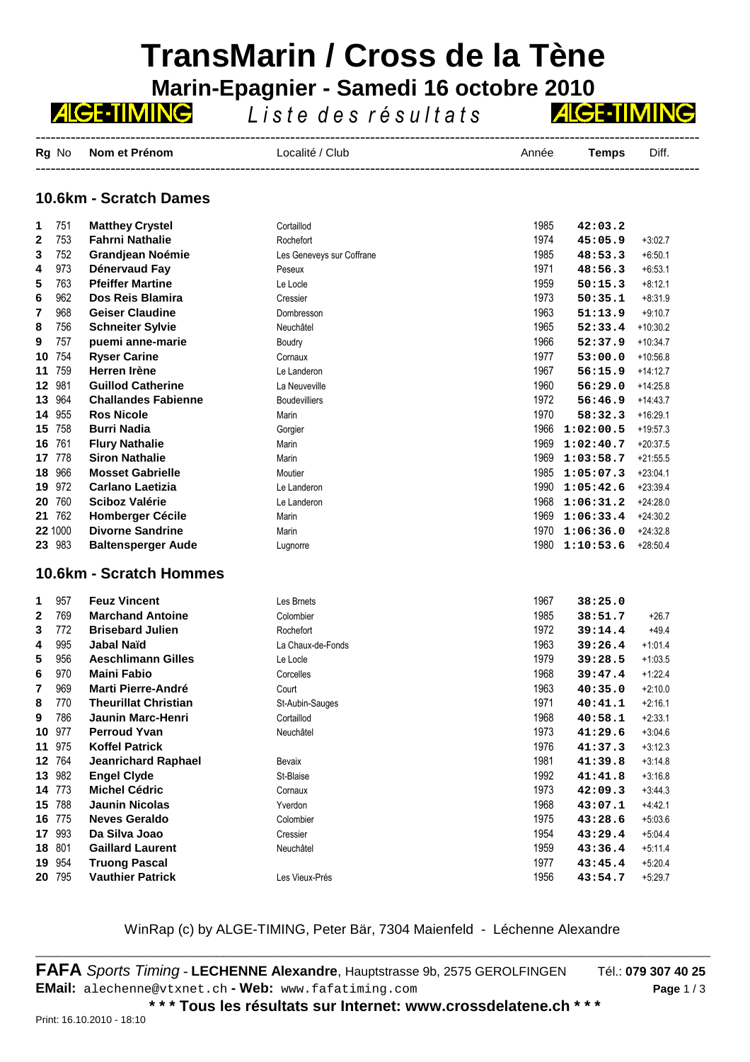# **TransMarin / Cross de la Tène Marin-Epagnier - Samedi 16 octobre 2010**<br>**ZICETIMINE** liste des résultats

*L i s t e d e s r é s u l t a t s*

------------------------------------------------------------------------------------------------------------------------------------- **Rg** No **Nom et Prénom Localité / Club Année Temps** Diff. -------------------------------------------------------------------------------------------------------------------------------------

### **10.6km - Scratch Dames**

| 1                       | 751     | <b>Matthey Crystel</b>      | Cortaillod                | 1985 | 42:03.2   |            |
|-------------------------|---------|-----------------------------|---------------------------|------|-----------|------------|
| 2                       | 753     | <b>Fahrni Nathalie</b>      | Rochefort                 | 1974 | 45:05.9   | $+3.02.7$  |
| 3                       | 752     | <b>Grandjean Noémie</b>     | Les Geneveys sur Coffrane | 1985 | 48:53.3   | $+6:50.1$  |
| 4                       | 973     | Dénervaud Fay               | Peseux                    | 1971 | 48:56.3   | $+6:53.1$  |
| 5                       | 763     | <b>Pfeiffer Martine</b>     | Le Locle                  | 1959 | 50:15.3   | $+8.12.1$  |
| 6                       | 962     | Dos Reis Blamira            | Cressier                  | 1973 | 50:35.1   | $+8.31.9$  |
| 7                       | 968     | <b>Geiser Claudine</b>      | Dombresson                | 1963 | 51:13.9   | $+9.10.7$  |
| 8                       | 756     | <b>Schneiter Sylvie</b>     | Neuchâtel                 | 1965 | 52:33.4   | $+10.30.2$ |
| 9                       | 757     | puemi anne-marie            | Boudry                    | 1966 | 52:37.9   | $+10.34.7$ |
| 10                      | 754     | <b>Ryser Carine</b>         | Cornaux                   | 1977 | 53:00.0   | $+10.56.8$ |
| 11                      | 759     | Herren Irène                | Le Landeron               | 1967 | 56:15.9   | $+14.12.7$ |
| 12                      | 981     | <b>Guillod Catherine</b>    | La Neuveville             | 1960 | 56:29.0   | $+14.25.8$ |
| 13                      | 964     | <b>Challandes Fabienne</b>  | <b>Boudevilliers</b>      | 1972 | 56:46.9   | $+14.43.7$ |
| 14                      | 955     | <b>Ros Nicole</b>           | Marin                     | 1970 | 58:32.3   | $+16.29.1$ |
|                         | 15 758  | <b>Burri Nadia</b>          | Gorgier                   | 1966 | 1:02:00.5 | $+19.57.3$ |
| 16                      | 761     | <b>Flury Nathalie</b>       | Marin                     | 1969 | 1:02:40.7 | $+20:37.5$ |
| 17                      | 778     | <b>Siron Nathalie</b>       | Marin                     | 1969 | 1:03:58.7 | $+21.55.5$ |
| 18                      | 966     | <b>Mosset Gabrielle</b>     | Moutier                   | 1985 | 1:05:07.3 | $+23:04.1$ |
| 19                      | 972     | <b>Carlano Laetizia</b>     | Le Landeron               | 1990 | 1:05:42.6 | $+23.39.4$ |
| 20                      | 760     | <b>Sciboz Valérie</b>       | Le Landeron               | 1968 | 1:06:31.2 | $+24.28.0$ |
| 21                      | 762     | <b>Homberger Cécile</b>     | Marin                     | 1969 | 1:06:33.4 | $+24.30.2$ |
|                         | 22 1000 | <b>Divorne Sandrine</b>     | Marin                     | 1970 | 1:06:36.0 | $+24.32.8$ |
|                         | 23 983  | <b>Baltensperger Aude</b>   | Lugnorre                  | 1980 | 1:10:53.6 | $+28.50.4$ |
| 10.6km - Scratch Hommes |         |                             |                           |      |           |            |
| 1                       | 957     | <b>Feuz Vincent</b>         | Les Brnets                | 1967 | 38:25.0   |            |
| $\mathbf{2}$            | 769     | <b>Marchand Antoine</b>     | Colombier                 | 1985 | 38:51.7   | $+26.7$    |
| 3                       | 772     | <b>Brisebard Julien</b>     | Rochefort                 | 1972 | 39:14.4   | $+49.4$    |
| 4                       | 995     | Jabal Naïd                  | La Chaux-de-Fonds         | 1963 | 39:26.4   | $+1.01.4$  |
| 5                       | 956     | <b>Aeschlimann Gilles</b>   | Le Locle                  | 1979 | 39:28.5   | $+1.03.5$  |
| 6                       | 970     | <b>Maini Fabio</b>          | Corcelles                 | 1968 | 39:47.4   | $+1.22.4$  |
| 7                       | 969     | <b>Marti Pierre-André</b>   | Court                     | 1963 | 40:35.0   | $+2:10.0$  |
| 8                       | 770     | <b>Theurillat Christian</b> | St-Aubin-Sauges           | 1971 | 40:41.1   | $+2.16.1$  |
| 9                       | 786     | <b>Jaunin Marc-Henri</b>    | Cortaillod                | 1968 | 40:58.1   | $+2.33.1$  |
| 10                      | 977     | <b>Perroud Yvan</b>         | Neuchâtel                 | 1973 | 41:29.6   | $+3046$    |
| 11                      | 975     | <b>Koffel Patrick</b>       |                           | 1976 | 41:37.3   | $+3:12.3$  |
| 12 <sub>2</sub>         | 764     | <b>Jeanrichard Raphael</b>  | Bevaix                    | 1981 | 41:39.8   | $+3.14.8$  |
|                         | 13 982  | <b>Engel Clyde</b>          | St-Blaise                 | 1992 | 41:41.8   | $+3.16.8$  |
|                         | 14 773  | <b>Michel Cédric</b>        | Cornaux                   | 1973 | 42:09.3   | $+3.44.3$  |
|                         | 15 788  | <b>Jaunin Nicolas</b>       | Yverdon                   | 1968 | 43:07.1   | $+4.42.1$  |
|                         | 16 775  | <b>Neves Geraldo</b>        | Colombier                 | 1975 | 43:28.6   | $+5:03.6$  |
|                         | 17 993  | Da Silva Joao               | Cressier                  | 1954 | 43:29.4   | $+5.04.4$  |
|                         | 18 801  | <b>Gaillard Laurent</b>     | Neuchâtel                 | 1959 | 43:36.4   | $+5:11.4$  |
|                         | 19 954  | <b>Truong Pascal</b>        |                           | 1977 | 43:45.4   | $+5:20.4$  |
|                         | 20 795  | <b>Vauthier Patrick</b>     | Les Vieux-Prés            | 1956 | 43:54.7   | $+5:29.7$  |

## WinRap (c) by ALGE-TIMING, Peter Bär, 7304 Maienfeld - Léchenne Alexandre \_\_\_\_\_\_\_\_\_\_\_\_\_\_\_\_\_\_\_\_\_\_\_\_\_\_\_\_\_\_\_\_\_\_\_\_\_\_\_\_\_\_\_\_\_\_\_\_\_\_\_\_\_\_\_\_\_\_\_\_\_\_\_\_\_\_\_\_\_\_\_\_\_\_\_\_\_\_\_\_\_\_\_\_\_\_\_\_\_\_\_\_\_\_\_\_\_

**FAFA** Sports Timing **- LECHENNE Alexandre**, Hauptstrasse 9b, 2575 GEROLFINGEN Tél.: **079 307 40 25 EMail:** alechenne@vtxnet.ch **- Web:** www.fafatiming.com **Page** 1 / 3

**AIGE-TIMING** 

**\* \* \* Tous les résultats sur Internet: www.crossdelatene.ch \* \* \***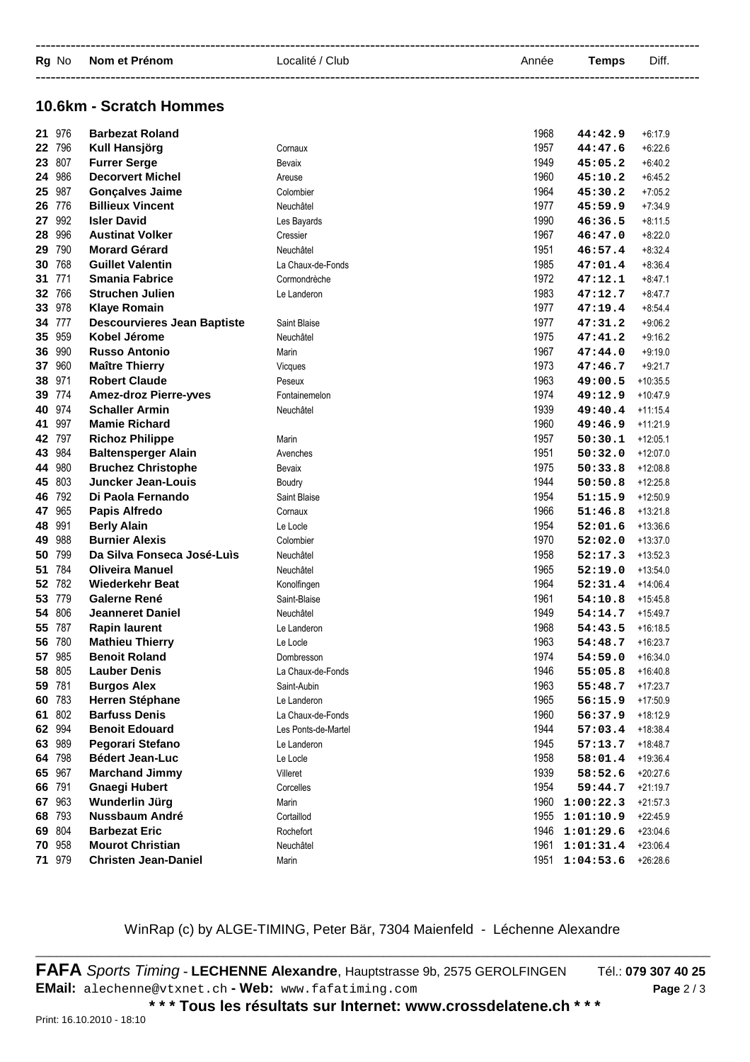| Rg No Nom et Prénom | Localité / Club | Année | Temps | Diff. |
|---------------------|-----------------|-------|-------|-------|
|                     |                 |       |       |       |

### **10.6km - Scratch Hommes**

| 21 | 976    | <b>Barbezat Roland</b>             |                     | 1968 | 44:42.9   | $+6:17.9$  |
|----|--------|------------------------------------|---------------------|------|-----------|------------|
|    | 22 796 | Kull Hansjörg                      | Cornaux             | 1957 | 44:47.6   | $+6.22.6$  |
| 23 | 807    | <b>Furrer Serge</b>                | Bevaix              | 1949 | 45:05.2   | $+6.40.2$  |
| 24 | 986    | <b>Decorvert Michel</b>            | Areuse              | 1960 | 45:10.2   | $+6.45.2$  |
| 25 | 987    | <b>Gonçalves Jaime</b>             | Colombier           | 1964 | 45:30.2   | $+7:05.2$  |
| 26 | 776    | <b>Billieux Vincent</b>            | Neuchâtel           | 1977 | 45:59.9   | $+7.34.9$  |
| 27 | 992    | <b>Isler David</b>                 | Les Bayards         | 1990 | 46:36.5   | $+8.11.5$  |
| 28 | 996    | <b>Austinat Volker</b>             | Cressier            | 1967 | 46:47.0   | $+8.22.0$  |
| 29 | 790    | <b>Morard Gérard</b>               | Neuchâtel           | 1951 | 46:57.4   | $+8.32.4$  |
| 30 | 768    | <b>Guillet Valentin</b>            | La Chaux-de-Fonds   | 1985 | 47:01.4   | $+8.36.4$  |
| 31 | 771    | <b>Smania Fabrice</b>              | Cormondrèche        | 1972 | 47:12.1   | $+8.47.1$  |
| 32 | 766    | <b>Struchen Julien</b>             | Le Landeron         | 1983 | 47:12.7   | $+8.47.7$  |
| 33 | 978    | <b>Klaye Romain</b>                |                     | 1977 | 47:19.4   | $+8.54.4$  |
|    | 34 777 | <b>Descourvieres Jean Baptiste</b> | Saint Blaise        | 1977 | 47:31.2   | $+9.06.2$  |
| 35 | 959    | Kobel Jérome                       | Neuchâtel           | 1975 | 47:41.2   | $+9.16.2$  |
| 36 | 990    | <b>Russo Antonio</b>               | Marin               | 1967 | 47:44.0   | $+9.19.0$  |
| 37 | 960    | <b>Maître Thierry</b>              | Vicques             | 1973 | 47:46.7   | $+9.21.7$  |
| 38 | 971    | <b>Robert Claude</b>               | Peseux              | 1963 | 49:00.5   | $+10.35.5$ |
| 39 | 774    | <b>Amez-droz Pierre-yves</b>       | Fontainemelon       | 1974 | 49:12.9   | $+10.47.9$ |
|    | 40 974 | <b>Schaller Armin</b>              | Neuchâtel           | 1939 | 49:40.4   | $+111154$  |
| 41 | 997    | <b>Mamie Richard</b>               |                     | 1960 | 49:46.9   | $+11.21.9$ |
|    | 42 797 | <b>Richoz Philippe</b>             | Marin               | 1957 | 50:30.1   | $+12:05.1$ |
| 43 | 984    | <b>Baltensperger Alain</b>         | Avenches            | 1951 | 50:32.0   | $+12.07.0$ |
| 44 | 980    | <b>Bruchez Christophe</b>          | Bevaix              | 1975 | 50:33.8   | $+12.08.8$ |
| 45 | 803    | <b>Juncker Jean-Louis</b>          | Boudry              | 1944 | 50:50.8   | $+12.25.8$ |
|    | 46 792 | Di Paola Fernando                  | Saint Blaise        | 1954 | 51:15.9   | $+12.50.9$ |
| 47 | 965    | Papis Alfredo                      | Cornaux             | 1966 | 51:46.8   | $+13.21.8$ |
| 48 | 991    | <b>Berly Alain</b>                 | Le Locle            | 1954 | 52:01.6   | $+13.36.6$ |
| 49 | 988    | <b>Burnier Alexis</b>              | Colombier           | 1970 | 52:02.0   | $+13.37.0$ |
| 50 | 799    | Da Silva Fonseca José-Luis         | Neuchâtel           | 1958 | 52:17.3   | $+13.52.3$ |
| 51 | 784    | <b>Oliveira Manuel</b>             | Neuchâtel           | 1965 | 52:19.0   | $+13.54.0$ |
| 52 | 782    | Wiederkehr Beat                    | Konolfingen         | 1964 | 52:31.4   | $+14.06.4$ |
| 53 | 779    | Galerne René                       | Saint-Blaise        | 1961 | 54:10.8   | $+15.45.8$ |
| 54 | 806    | <b>Jeanneret Daniel</b>            | Neuchâtel           | 1949 | 54:14.7   | $+15.49.7$ |
| 55 | 787    | <b>Rapin laurent</b>               | Le Landeron         | 1968 | 54:43.5   | $+16.18.5$ |
| 56 | 780    | <b>Mathieu Thierry</b>             | Le Locle            | 1963 | 54:48.7   | $+16.23.7$ |
| 57 | 985    | <b>Benoit Roland</b>               | Dombresson          | 1974 | 54:59.0   | $+16.34.0$ |
| 58 | 805    | <b>Lauber Denis</b>                | La Chaux-de-Fonds   | 1946 | 55:05.8   | $+16.40.8$ |
|    | 59 781 | <b>Burgos Alex</b>                 | Saint-Aubin         | 1963 | 55:48.7   | $+17:23.7$ |
|    | 60 783 | <b>Herren Stéphane</b>             | Le Landeron         | 1965 | 56:15.9   | $+17:50.9$ |
|    | 61 802 | <b>Barfuss Denis</b>               | La Chaux-de-Fonds   | 1960 | 56:37.9   | $+18:12.9$ |
|    | 62 994 | <b>Benoit Edouard</b>              | Les Ponts-de-Martel | 1944 | 57:03.4   | $+18.38.4$ |
| 63 | 989    | Pegorari Stefano                   | Le Landeron         | 1945 | 57:13.7   | $+18.48.7$ |
|    | 64 798 | <b>Bédert Jean-Luc</b>             | Le Locle            | 1958 | 58:01.4   | $+19.364$  |
|    | 65 967 | <b>Marchand Jimmy</b>              | Villeret            | 1939 | 58:52.6   | $+20:27.6$ |
|    | 66 791 | <b>Gnaegi Hubert</b>               | Corcelles           | 1954 | 59:44.7   | $+21.19.7$ |
|    | 67 963 | Wunderlin Jürg                     | Marin               | 1960 | 1:00:22.3 | $+21.57.3$ |
|    | 68 793 | <b>Nussbaum André</b>              | Cortaillod          | 1955 | 1:01:10.9 | $+22.45.9$ |
|    | 69 804 | <b>Barbezat Eric</b>               | Rochefort           | 1946 | 1:01:29.6 | $+23.04.6$ |
|    | 70 958 | <b>Mourot Christian</b>            | Neuchâtel           | 1961 | 1:01:31.4 | $+23.06.4$ |
|    | 71 979 | <b>Christen Jean-Daniel</b>        | Marin               | 1951 | 1:04:53.6 | $+26:28.6$ |

## WinRap (c) by ALGE-TIMING, Peter Bär, 7304 Maienfeld - Léchenne Alexandre \_\_\_\_\_\_\_\_\_\_\_\_\_\_\_\_\_\_\_\_\_\_\_\_\_\_\_\_\_\_\_\_\_\_\_\_\_\_\_\_\_\_\_\_\_\_\_\_\_\_\_\_\_\_\_\_\_\_\_\_\_\_\_\_\_\_\_\_\_\_\_\_\_\_\_\_\_\_\_\_\_\_\_\_\_\_\_\_\_\_\_\_\_\_\_\_\_

**FAFA** Sports Timing **- LECHENNE Alexandre**, Hauptstrasse 9b, 2575 GEROLFINGEN Tél.: **079 307 40 25 EMail:** alechenne@vtxnet.ch **- Web:** www.fafatiming.com **Page** 2 / 3

**\* \* \* Tous les résultats sur Internet: www.crossdelatene.ch \* \* \***